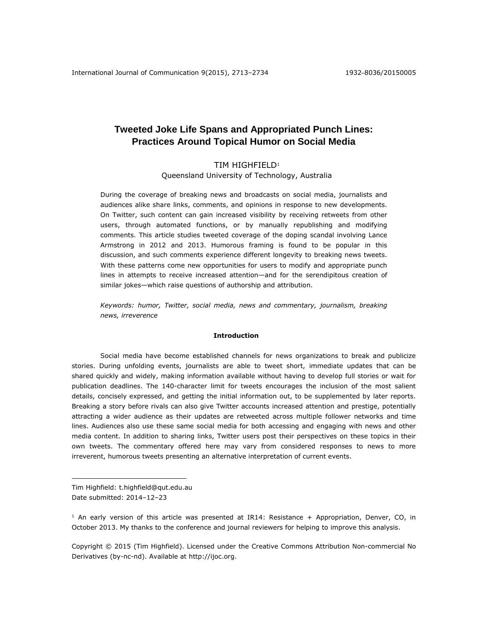# **Tweeted Joke Life Spans and Appropriated Punch Lines: Practices Around Topical Humor on Social Media**

# TIM HIGHFIELD<sup>1</sup>

Queensland University of Technology, Australia

During the coverage of breaking news and broadcasts on social media, journalists and audiences alike share links, comments, and opinions in response to new developments. On Twitter, such content can gain increased visibility by receiving retweets from other users, through automated functions, or by manually republishing and modifying comments. This article studies tweeted coverage of the doping scandal involving Lance Armstrong in 2012 and 2013. Humorous framing is found to be popular in this discussion, and such comments experience different longevity to breaking news tweets. With these patterns come new opportunities for users to modify and appropriate punch lines in attempts to receive increased attention—and for the serendipitous creation of similar jokes—which raise questions of authorship and attribution.

*Keywords: humor, Twitter, social media, news and commentary, journalism, breaking news, irreverence*

#### **Introduction**

Social media have become established channels for news organizations to break and publicize stories. During unfolding events, journalists are able to tweet short, immediate updates that can be shared quickly and widely, making information available without having to develop full stories or wait for publication deadlines. The 140-character limit for tweets encourages the inclusion of the most salient details, concisely expressed, and getting the initial information out, to be supplemented by later reports. Breaking a story before rivals can also give Twitter accounts increased attention and prestige, potentially attracting a wider audience as their updates are retweeted across multiple follower networks and time lines. Audiences also use these same social media for both accessing and engaging with news and other media content. In addition to sharing links, Twitter users post their perspectives on these topics in their own tweets. The commentary offered here may vary from considered responses to news to more irreverent, humorous tweets presenting an alternative interpretation of current events.

Tim Highfield: t.highfield@qut.edu.au Date submitted: 2014–12–23

 $\overline{a}$ 

 $1$  An early version of this article was presented at IR14: Resistance + Appropriation, Denver, CO, in October 2013. My thanks to the conference and journal reviewers for helping to improve this analysis.

Copyright © 2015 (Tim Highfield). Licensed under the Creative Commons Attribution Non-commercial No Derivatives (by-nc-nd). Available at [http://ijoc.org.](http://ijoc.org/)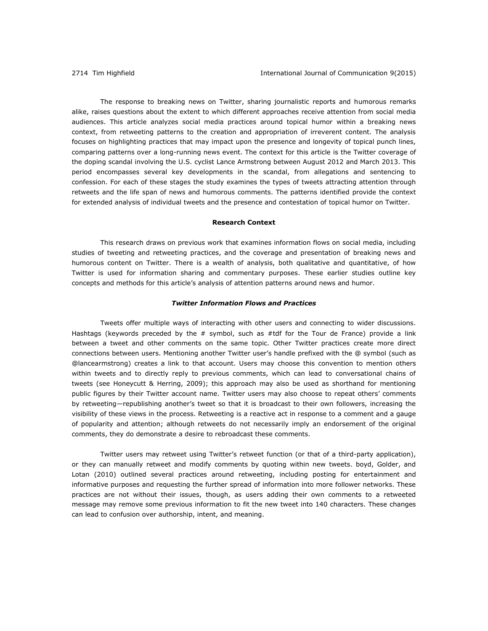The response to breaking news on Twitter, sharing journalistic reports and humorous remarks alike, raises questions about the extent to which different approaches receive attention from social media audiences. This article analyzes social media practices around topical humor within a breaking news context, from retweeting patterns to the creation and appropriation of irreverent content. The analysis focuses on highlighting practices that may impact upon the presence and longevity of topical punch lines, comparing patterns over a long-running news event. The context for this article is the Twitter coverage of the doping scandal involving the U.S. cyclist Lance Armstrong between August 2012 and March 2013. This period encompasses several key developments in the scandal, from allegations and sentencing to confession. For each of these stages the study examines the types of tweets attracting attention through retweets and the life span of news and humorous comments. The patterns identified provide the context for extended analysis of individual tweets and the presence and contestation of topical humor on Twitter.

# **Research Context**

This research draws on previous work that examines information flows on social media, including studies of tweeting and retweeting practices, and the coverage and presentation of breaking news and humorous content on Twitter. There is a wealth of analysis, both qualitative and quantitative, of how Twitter is used for information sharing and commentary purposes. These earlier studies outline key concepts and methods for this article's analysis of attention patterns around news and humor.

# *Twitter Information Flows and Practices*

Tweets offer multiple ways of interacting with other users and connecting to wider discussions. Hashtags (keywords preceded by the  $#$  symbol, such as  $#tdf$  for the Tour de France) provide a link between a tweet and other comments on the same topic. Other Twitter practices create more direct connections between users. Mentioning another Twitter user's handle prefixed with the @ symbol (such as @lancearmstrong) creates a link to that account. Users may choose this convention to mention others within tweets and to directly reply to previous comments, which can lead to conversational chains of tweets (see Honeycutt & Herring, 2009); this approach may also be used as shorthand for mentioning public figures by their Twitter account name. Twitter users may also choose to repeat others' comments by retweeting—republishing another's tweet so that it is broadcast to their own followers, increasing the visibility of these views in the process. Retweeting is a reactive act in response to a comment and a gauge of popularity and attention; although retweets do not necessarily imply an endorsement of the original comments, they do demonstrate a desire to rebroadcast these comments.

Twitter users may retweet using Twitter's retweet function (or that of a third-party application), or they can manually retweet and modify comments by quoting within new tweets. boyd, Golder, and Lotan (2010) outlined several practices around retweeting, including posting for entertainment and informative purposes and requesting the further spread of information into more follower networks. These practices are not without their issues, though, as users adding their own comments to a retweeted message may remove some previous information to fit the new tweet into 140 characters. These changes can lead to confusion over authorship, intent, and meaning.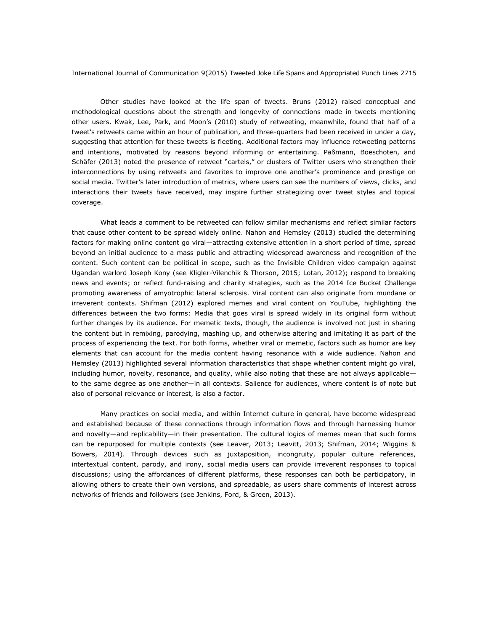Other studies have looked at the life span of tweets. Bruns (2012) raised conceptual and methodological questions about the strength and longevity of connections made in tweets mentioning other users. Kwak, Lee, Park, and Moon's (2010) study of retweeting, meanwhile, found that half of a tweet's retweets came within an hour of publication, and three-quarters had been received in under a day, suggesting that attention for these tweets is fleeting. Additional factors may influence retweeting patterns and intentions, motivated by reasons beyond informing or entertaining. Paßmann, Boeschoten, and Schäfer (2013) noted the presence of retweet "cartels," or clusters of Twitter users who strengthen their interconnections by using retweets and favorites to improve one another's prominence and prestige on social media. Twitter's later introduction of metrics, where users can see the numbers of views, clicks, and interactions their tweets have received, may inspire further strategizing over tweet styles and topical coverage.

What leads a comment to be retweeted can follow similar mechanisms and reflect similar factors that cause other content to be spread widely online. Nahon and Hemsley (2013) studied the determining factors for making online content go viral—attracting extensive attention in a short period of time, spread beyond an initial audience to a mass public and attracting widespread awareness and recognition of the content. Such content can be political in scope, such as the Invisible Children video campaign against Ugandan warlord Joseph Kony (see Kligler-Vilenchik & Thorson, 2015; Lotan, 2012); respond to breaking news and events; or reflect fund-raising and charity strategies, such as the 2014 Ice Bucket Challenge promoting awareness of amyotrophic lateral sclerosis. Viral content can also originate from mundane or irreverent contexts. Shifman (2012) explored memes and viral content on YouTube, highlighting the differences between the two forms: Media that goes viral is spread widely in its original form without further changes by its audience. For memetic texts, though, the audience is involved not just in sharing the content but in remixing, parodying, mashing up, and otherwise altering and imitating it as part of the process of experiencing the text. For both forms, whether viral or memetic, factors such as humor are key elements that can account for the media content having resonance with a wide audience. Nahon and Hemsley (2013) highlighted several information characteristics that shape whether content might go viral, including humor, novelty, resonance, and quality, while also noting that these are not always applicable to the same degree as one another—in all contexts. Salience for audiences, where content is of note but also of personal relevance or interest, is also a factor.

Many practices on social media, and within Internet culture in general, have become widespread and established because of these connections through information flows and through harnessing humor and novelty—and replicability—in their presentation. The cultural logics of memes mean that such forms can be repurposed for multiple contexts (see Leaver, 2013; Leavitt, 2013; Shifman, 2014; Wiggins & Bowers, 2014). Through devices such as juxtaposition, incongruity, popular culture references, intertextual content, parody, and irony, social media users can provide irreverent responses to topical discussions; using the affordances of different platforms, these responses can both be participatory, in allowing others to create their own versions, and spreadable, as users share comments of interest across networks of friends and followers (see Jenkins, Ford, & Green, 2013).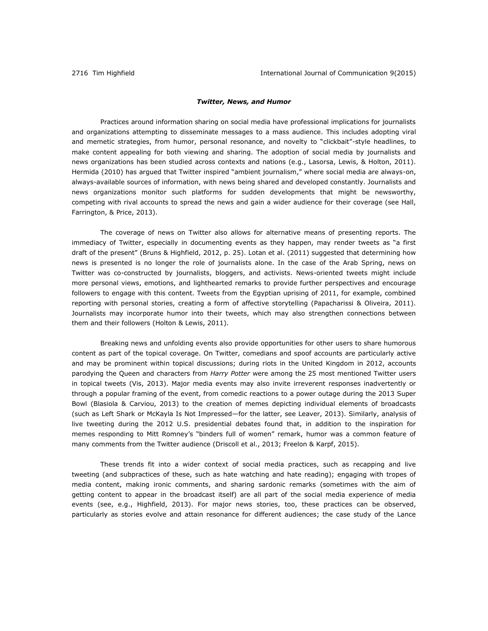# *Twitter, News, and Humor*

Practices around information sharing on social media have professional implications for journalists and organizations attempting to disseminate messages to a mass audience. This includes adopting viral and memetic strategies, from humor, personal resonance, and novelty to "clickbait"-style headlines, to make content appealing for both viewing and sharing. The adoption of social media by journalists and news organizations has been studied across contexts and nations (e.g., Lasorsa, Lewis, & Holton, 2011). Hermida (2010) has argued that Twitter inspired "ambient journalism," where social media are always-on, always-available sources of information, with news being shared and developed constantly. Journalists and news organizations monitor such platforms for sudden developments that might be newsworthy, competing with rival accounts to spread the news and gain a wider audience for their coverage (see Hall, Farrington, & Price, 2013).

The coverage of news on Twitter also allows for alternative means of presenting reports. The immediacy of Twitter, especially in documenting events as they happen, may render tweets as "a first draft of the present" (Bruns & Highfield, 2012, p. 25). Lotan et al. (2011) suggested that determining how news is presented is no longer the role of journalists alone. In the case of the Arab Spring, news on Twitter was co-constructed by journalists, bloggers, and activists. News-oriented tweets might include more personal views, emotions, and lighthearted remarks to provide further perspectives and encourage followers to engage with this content. Tweets from the Egyptian uprising of 2011, for example, combined reporting with personal stories, creating a form of affective storytelling (Papacharissi & Oliveira, 2011). Journalists may incorporate humor into their tweets, which may also strengthen connections between them and their followers (Holton & Lewis, 2011).

Breaking news and unfolding events also provide opportunities for other users to share humorous content as part of the topical coverage. On Twitter, comedians and spoof accounts are particularly active and may be prominent within topical discussions; during riots in the United Kingdom in 2012, accounts parodying the Queen and characters from *Harry Potter* were among the 25 most mentioned Twitter users in topical tweets (Vis, 2013). Major media events may also invite irreverent responses inadvertently or through a popular framing of the event, from comedic reactions to a power outage during the 2013 Super Bowl (Blasiola & Carviou, 2013) to the creation of memes depicting individual elements of broadcasts (such as Left Shark or McKayla Is Not Impressed—for the latter, see Leaver, 2013). Similarly, analysis of live tweeting during the 2012 U.S. presidential debates found that, in addition to the inspiration for memes responding to Mitt Romney's "binders full of women" remark, humor was a common feature of many comments from the Twitter audience (Driscoll et al., 2013; Freelon & Karpf, 2015).

These trends fit into a wider context of social media practices, such as recapping and live tweeting (and subpractices of these, such as hate watching and hate reading); engaging with tropes of media content, making ironic comments, and sharing sardonic remarks (sometimes with the aim of getting content to appear in the broadcast itself) are all part of the social media experience of media events (see, e.g., Highfield, 2013). For major news stories, too, these practices can be observed, particularly as stories evolve and attain resonance for different audiences; the case study of the Lance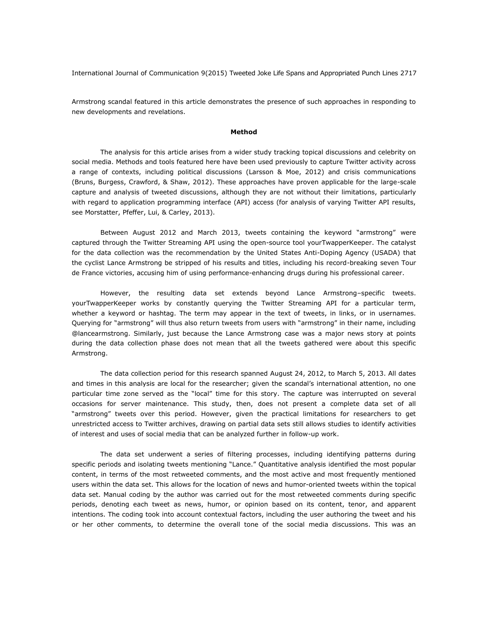Armstrong scandal featured in this article demonstrates the presence of such approaches in responding to new developments and revelations.

#### **Method**

The analysis for this article arises from a wider study tracking topical discussions and celebrity on social media. Methods and tools featured here have been used previously to capture Twitter activity across a range of contexts, including political discussions (Larsson & Moe, 2012) and crisis communications (Bruns, Burgess, Crawford, & Shaw, 2012). These approaches have proven applicable for the large-scale capture and analysis of tweeted discussions, although they are not without their limitations, particularly with regard to application programming interface (API) access (for analysis of varying Twitter API results, see Morstatter, Pfeffer, Lui, & Carley, 2013).

Between August 2012 and March 2013, tweets containing the keyword "armstrong" were captured through the Twitter Streaming API using the open-source tool yourTwapperKeeper. The catalyst for the data collection was the recommendation by the United States Anti-Doping Agency (USADA) that the cyclist Lance Armstrong be stripped of his results and titles, including his record-breaking seven Tour de France victories, accusing him of using performance-enhancing drugs during his professional career.

However, the resulting data set extends beyond Lance Armstrong–specific tweets. yourTwapperKeeper works by constantly querying the Twitter Streaming API for a particular term, whether a keyword or hashtag. The term may appear in the text of tweets, in links, or in usernames. Querying for "armstrong" will thus also return tweets from users with "armstrong" in their name, including @lancearmstrong. Similarly, just because the Lance Armstrong case was a major news story at points during the data collection phase does not mean that all the tweets gathered were about this specific Armstrong.

The data collection period for this research spanned August 24, 2012, to March 5, 2013. All dates and times in this analysis are local for the researcher; given the scandal's international attention, no one particular time zone served as the "local" time for this story. The capture was interrupted on several occasions for server maintenance. This study, then, does not present a complete data set of all "armstrong" tweets over this period. However, given the practical limitations for researchers to get unrestricted access to Twitter archives, drawing on partial data sets still allows studies to identify activities of interest and uses of social media that can be analyzed further in follow-up work.

The data set underwent a series of filtering processes, including identifying patterns during specific periods and isolating tweets mentioning "Lance." Quantitative analysis identified the most popular content, in terms of the most retweeted comments, and the most active and most frequently mentioned users within the data set. This allows for the location of news and humor-oriented tweets within the topical data set. Manual coding by the author was carried out for the most retweeted comments during specific periods, denoting each tweet as news, humor, or opinion based on its content, tenor, and apparent intentions. The coding took into account contextual factors, including the user authoring the tweet and his or her other comments, to determine the overall tone of the social media discussions. This was an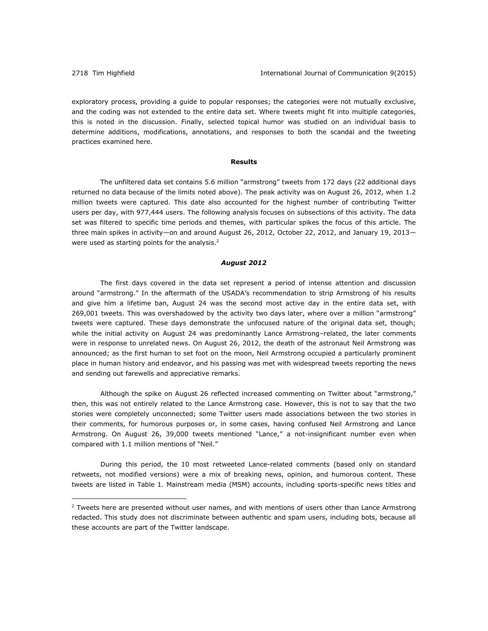$\overline{a}$ 

exploratory process, providing a guide to popular responses; the categories were not mutually exclusive, and the coding was not extended to the entire data set. Where tweets might fit into multiple categories, this is noted in the discussion. Finally, selected topical humor was studied on an individual basis to determine additions, modifications, annotations, and responses to both the scandal and the tweeting practices examined here.

# **Results**

The unfiltered data set contains 5.6 million "armstrong" tweets from 172 days (22 additional days returned no data because of the limits noted above). The peak activity was on August 26, 2012, when 1.2 million tweets were captured. This date also accounted for the highest number of contributing Twitter users per day, with 977,444 users. The following analysis focuses on subsections of this activity. The data set was filtered to specific time periods and themes, with particular spikes the focus of this article. The three main spikes in activity—on and around August 26, 2012, October 22, 2012, and January 19, 2013 were used as starting points for the analysis. $2$ 

## *August 2012*

The first days covered in the data set represent a period of intense attention and discussion around "armstrong." In the aftermath of the USADA's recommendation to strip Armstrong of his results and give him a lifetime ban, August 24 was the second most active day in the entire data set, with 269,001 tweets. This was overshadowed by the activity two days later, where over a million "armstrong" tweets were captured. These days demonstrate the unfocused nature of the original data set, though; while the initial activity on August 24 was predominantly Lance Armstrong-related, the later comments were in response to unrelated news. On August 26, 2012, the death of the astronaut Neil Armstrong was announced; as the first human to set foot on the moon, Neil Armstrong occupied a particularly prominent place in human history and endeavor, and his passing was met with widespread tweets reporting the news and sending out farewells and appreciative remarks.

Although the spike on August 26 reflected increased commenting on Twitter about "armstrong," then, this was not entirely related to the Lance Armstrong case. However, this is not to say that the two stories were completely unconnected; some Twitter users made associations between the two stories in their comments, for humorous purposes or, in some cases, having confused Neil Armstrong and Lance Armstrong. On August 26, 39,000 tweets mentioned "Lance," a not-insignificant number even when compared with 1.1 million mentions of "Neil."

During this period, the 10 most retweeted Lance-related comments (based only on standard retweets, not modified versions) were a mix of breaking news, opinion, and humorous content. These tweets are listed in Table 1. Mainstream media (MSM) accounts, including sports-specific news titles and

 $2$  Tweets here are presented without user names, and with mentions of users other than Lance Armstrong redacted. This study does not discriminate between authentic and spam users, including bots, because all these accounts are part of the Twitter landscape.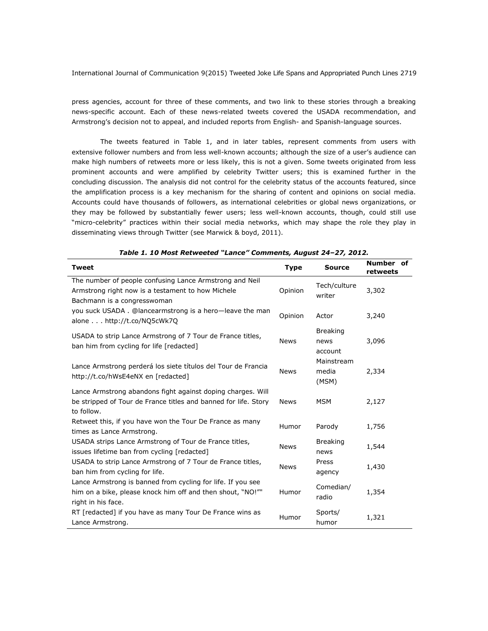press agencies, account for three of these comments, and two link to these stories through a breaking news-specific account. Each of these news-related tweets covered the USADA recommendation, and Armstrong's decision not to appeal, and included reports from English- and Spanish-language sources.

The tweets featured in Table 1, and in later tables, represent comments from users with extensive follower numbers and from less well-known accounts; although the size of a user's audience can make high numbers of retweets more or less likely, this is not a given. Some tweets originated from less prominent accounts and were amplified by celebrity Twitter users; this is examined further in the concluding discussion. The analysis did not control for the celebrity status of the accounts featured, since the amplification process is a key mechanism for the sharing of content and opinions on social media. Accounts could have thousands of followers, as international celebrities or global news organizations, or they may be followed by substantially fewer users; less well-known accounts, though, could still use "micro-celebrity" practices within their social media networks, which may shape the role they play in disseminating views through Twitter (see Marwick & boyd, 2011).

| <b>Tweet</b>                                                                                                                                    |             | <b>Source</b>                      | Number of<br>retweets |  |
|-------------------------------------------------------------------------------------------------------------------------------------------------|-------------|------------------------------------|-----------------------|--|
| The number of people confusing Lance Armstrong and Neil<br>Armstrong right now is a testament to how Michele<br>Bachmann is a congresswoman     | Opinion     | Tech/culture<br>writer             | 3,302                 |  |
| you suck USADA. @lancearmstrong is a hero-leave the man<br>alone http://t.co/NQ5cWk7Q                                                           | Opinion     | Actor                              | 3,240                 |  |
| USADA to strip Lance Armstrong of 7 Tour de France titles,<br>ban him from cycling for life [redacted]                                          | <b>News</b> | <b>Breaking</b><br>news<br>account | 3,096                 |  |
| Lance Armstrong perderá los siete títulos del Tour de Francia<br>http://t.co/hWsE4eNX en [redacted]                                             | <b>News</b> | Mainstream<br>media<br>(MSM)       | 2,334                 |  |
| Lance Armstrong abandons fight against doping charges. Will<br>be stripped of Tour de France titles and banned for life. Story<br>to follow.    | <b>News</b> | <b>MSM</b>                         | 2,127                 |  |
| Retweet this, if you have won the Tour De France as many<br>times as Lance Armstrong.                                                           | Humor       | Parody                             | 1,756                 |  |
| USADA strips Lance Armstrong of Tour de France titles,<br>issues lifetime ban from cycling [redacted]                                           | <b>News</b> | <b>Breaking</b><br>news            | 1,544                 |  |
| USADA to strip Lance Armstrong of 7 Tour de France titles,<br>ban him from cycling for life.                                                    | <b>News</b> | Press<br>agency                    | 1,430                 |  |
| Lance Armstrong is banned from cycling for life. If you see<br>him on a bike, please knock him off and then shout, "NO!""<br>right in his face. | Humor       | Comedian/<br>radio                 | 1,354                 |  |
| RT [redacted] if you have as many Tour De France wins as<br>Lance Armstrong.                                                                    | Humor       | Sports/<br>humor                   | 1,321                 |  |

*Table 1. 10 Most Retweeted "Lance" Comments, August 24–27, 2012.*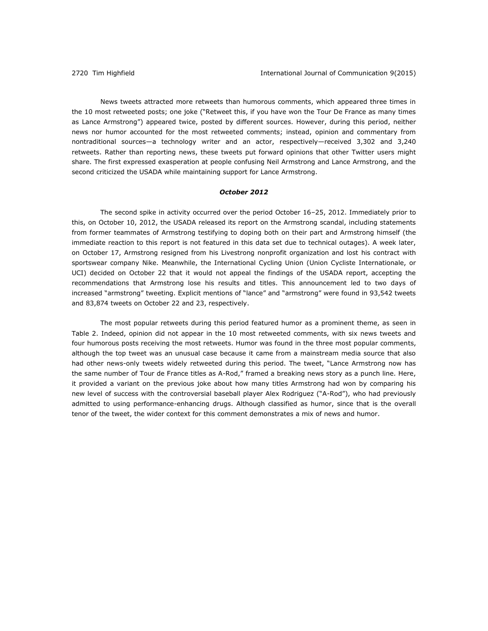News tweets attracted more retweets than humorous comments, which appeared three times in the 10 most retweeted posts; one joke ("Retweet this, if you have won the Tour De France as many times as Lance Armstrong") appeared twice, posted by different sources. However, during this period, neither news nor humor accounted for the most retweeted comments; instead, opinion and commentary from nontraditional sources—a technology writer and an actor, respectively—received 3,302 and 3,240 retweets. Rather than reporting news, these tweets put forward opinions that other Twitter users might share. The first expressed exasperation at people confusing Neil Armstrong and Lance Armstrong, and the second criticized the USADA while maintaining support for Lance Armstrong.

# *October 2012*

The second spike in activity occurred over the period October 16–25, 2012. Immediately prior to this, on October 10, 2012, the USADA released its report on the Armstrong scandal, including statements from former teammates of Armstrong testifying to doping both on their part and Armstrong himself (the immediate reaction to this report is not featured in this data set due to technical outages). A week later, on October 17, Armstrong resigned from his Livestrong nonprofit organization and lost his contract with sportswear company Nike. Meanwhile, the International Cycling Union (Union Cycliste Internationale, or UCI) decided on October 22 that it would not appeal the findings of the USADA report, accepting the recommendations that Armstrong lose his results and titles. This announcement led to two days of increased "armstrong" tweeting. Explicit mentions of "lance" and "armstrong" were found in 93,542 tweets and 83,874 tweets on October 22 and 23, respectively.

The most popular retweets during this period featured humor as a prominent theme, as seen in Table 2. Indeed, opinion did not appear in the 10 most retweeted comments, with six news tweets and four humorous posts receiving the most retweets. Humor was found in the three most popular comments, although the top tweet was an unusual case because it came from a mainstream media source that also had other news-only tweets widely retweeted during this period. The tweet, "Lance Armstrong now has the same number of Tour de France titles as A-Rod," framed a breaking news story as a punch line. Here, it provided a variant on the previous joke about how many titles Armstrong had won by comparing his new level of success with the controversial baseball player Alex Rodriguez ("A-Rod"), who had previously admitted to using performance-enhancing drugs. Although classified as humor, since that is the overall tenor of the tweet, the wider context for this comment demonstrates a mix of news and humor.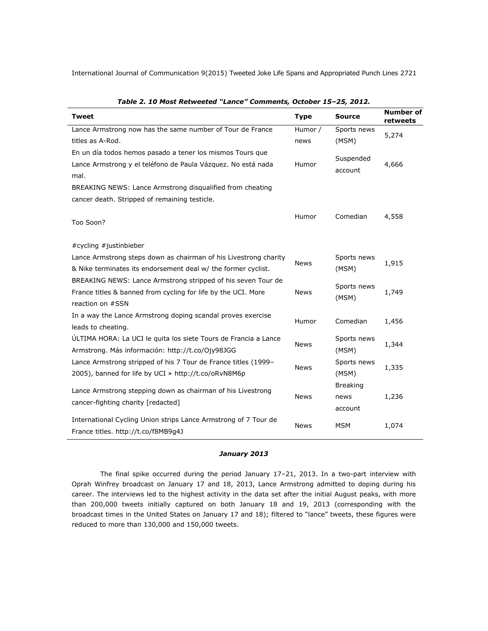| <b>Tweet</b>                                                     | <b>Type</b> | Source               | <b>Number of</b><br>retweets |  |
|------------------------------------------------------------------|-------------|----------------------|------------------------------|--|
| Lance Armstrong now has the same number of Tour de France        | Humor /     | Sports news          | 5,274                        |  |
| titles as A-Rod.                                                 | news        | (MSM)                |                              |  |
| En un día todos hemos pasado a tener los mismos Tours que        |             |                      |                              |  |
| Lance Armstrong y el teléfono de Paula Vázquez. No está nada     | Humor       | Suspended<br>account | 4,666                        |  |
| mal.                                                             |             |                      |                              |  |
| BREAKING NEWS: Lance Armstrong disqualified from cheating        |             |                      |                              |  |
| cancer death. Stripped of remaining testicle.                    |             |                      |                              |  |
|                                                                  | Humor       | Comedian             | 4,558                        |  |
| Too Soon?                                                        |             |                      |                              |  |
| #cycling #justinbieber                                           |             |                      |                              |  |
| Lance Armstrong steps down as chairman of his Livestrong charity |             | Sports news          |                              |  |
| & Nike terminates its endorsement deal w/ the former cyclist.    | <b>News</b> | (MSM)                | 1,915                        |  |
| BREAKING NEWS: Lance Armstrong stripped of his seven Tour de     |             |                      |                              |  |
| France titles & banned from cycling for life by the UCI. More    | News        | Sports news          | 1,749                        |  |
| reaction on #SSN                                                 |             | (MSM)                |                              |  |
| In a way the Lance Armstrong doping scandal proves exercise      |             |                      |                              |  |
| leads to cheating.                                               | Humor       | Comedian             | 1,456                        |  |
| ULTIMA HORA: La UCI le quita los siete Tours de Francia a Lance  |             | Sports news          |                              |  |
| Armstrong. Más información: http://t.co/Ojy98JGG                 | <b>News</b> | (MSM)                | 1,344                        |  |
| Lance Armstrong stripped of his 7 Tour de France titles (1999-   |             | Sports news          |                              |  |
| 2005), banned for life by UCI » http://t.co/oRvN8M6p             | <b>News</b> | (MSM)                | 1,335                        |  |
| Lance Armstrong stepping down as chairman of his Livestrong      |             | <b>Breaking</b>      |                              |  |
| cancer-fighting charity [redacted]                               | <b>News</b> | news                 | 1,236                        |  |
|                                                                  |             | account              |                              |  |
| International Cycling Union strips Lance Armstrong of 7 Tour de  | News        | <b>MSM</b>           | 1,074                        |  |
| France titles. http://t.co/f8MB9g4J                              |             |                      |                              |  |

| Table 2. 10 Most Retweeted "Lance" Comments, October 15-25, 2012. |  |  |  |  |  |
|-------------------------------------------------------------------|--|--|--|--|--|
|-------------------------------------------------------------------|--|--|--|--|--|

### *January 2013*

The final spike occurred during the period January 17–21, 2013. In a two-part interview with Oprah Winfrey broadcast on January 17 and 18, 2013, Lance Armstrong admitted to doping during his career. The interviews led to the highest activity in the data set after the initial August peaks, with more than 200,000 tweets initially captured on both January 18 and 19, 2013 (corresponding with the broadcast times in the United States on January 17 and 18); filtered to "lance" tweets, these figures were reduced to more than 130,000 and 150,000 tweets.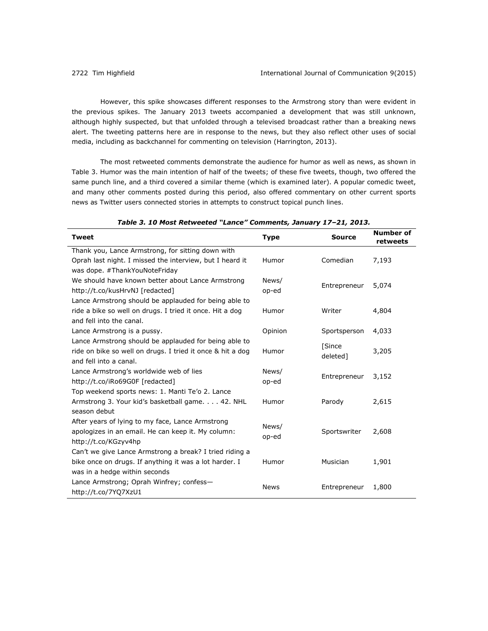However, this spike showcases different responses to the Armstrong story than were evident in the previous spikes. The January 2013 tweets accompanied a development that was still unknown, although highly suspected, but that unfolded through a televised broadcast rather than a breaking news alert. The tweeting patterns here are in response to the news, but they also reflect other uses of social media, including as backchannel for commenting on television (Harrington, 2013).

The most retweeted comments demonstrate the audience for humor as well as news, as shown in Table 3. Humor was the main intention of half of the tweets; of these five tweets, though, two offered the same punch line, and a third covered a similar theme (which is examined later). A popular comedic tweet, and many other comments posted during this period, also offered commentary on other current sports news as Twitter users connected stories in attempts to construct topical punch lines.

| <b>Tweet</b>                                               | <b>Type</b> | <b>Source</b> | Number of<br>retweets |
|------------------------------------------------------------|-------------|---------------|-----------------------|
| Thank you, Lance Armstrong, for sitting down with          |             |               |                       |
| Oprah last night. I missed the interview, but I heard it   | Humor       | Comedian      | 7,193                 |
| was dope. #ThankYouNoteFriday                              |             |               |                       |
| We should have known better about Lance Armstrong          | News/       | Entrepreneur  | 5,074                 |
| http://t.co/kusHrvNJ [redacted]                            | op-ed       |               |                       |
| Lance Armstrong should be applauded for being able to      |             |               |                       |
| ride a bike so well on drugs. I tried it once. Hit a dog   | Humor       | Writer        | 4,804                 |
| and fell into the canal.                                   |             |               |                       |
| Lance Armstrong is a pussy.                                | Opinion     | Sportsperson  | 4,033                 |
| Lance Armstrong should be applauded for being able to      |             | [Since        |                       |
| ride on bike so well on drugs. I tried it once & hit a dog | Humor       | deleted]      | 3,205                 |
| and fell into a canal.                                     |             |               |                       |
| Lance Armstrong's worldwide web of lies                    | News/       | Entrepreneur  | 3,152                 |
| http://t.co/iRo69G0F [redacted]                            | op-ed       |               |                       |
| Top weekend sports news: 1. Manti Te'o 2. Lance            |             |               |                       |
| Armstrong 3. Your kid's basketball game. 42. NHL           | Humor       | Parody        | 2,615                 |
| season debut                                               |             |               |                       |
| After years of lying to my face, Lance Armstrong           | News/       |               |                       |
| apologizes in an email. He can keep it. My column:         | op-ed       | Sportswriter  | 2,608                 |
| http://t.co/KGzyv4hp                                       |             |               |                       |
| Can't we give Lance Armstrong a break? I tried riding a    |             |               |                       |
| bike once on drugs. If anything it was a lot harder. I     | Humor       | Musician      | 1,901                 |
| was in a hedge within seconds                              |             |               |                       |
| Lance Armstrong; Oprah Winfrey; confess-                   | <b>News</b> | Entrepreneur  | 1,800                 |
| http://t.co/7YQ7XzU1                                       |             |               |                       |

| Table 3. 10 Most Retweeted "Lance" Comments, January 17-21, 2013. |  |  |  |  |  |
|-------------------------------------------------------------------|--|--|--|--|--|
|-------------------------------------------------------------------|--|--|--|--|--|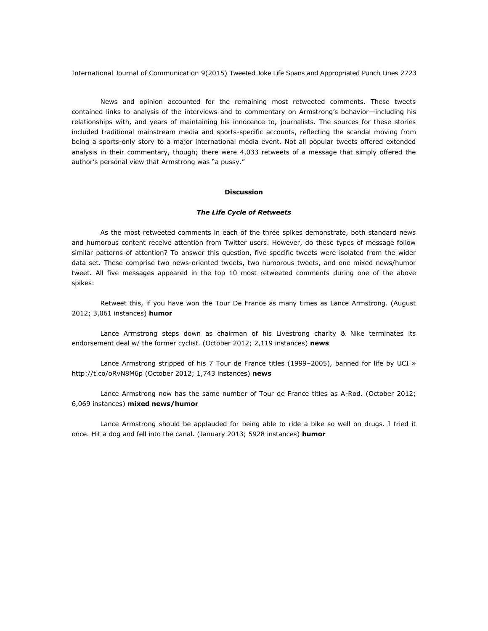News and opinion accounted for the remaining most retweeted comments. These tweets contained links to analysis of the interviews and to commentary on Armstrong's behavior—including his relationships with, and years of maintaining his innocence to, journalists. The sources for these stories included traditional mainstream media and sports-specific accounts, reflecting the scandal moving from being a sports-only story to a major international media event. Not all popular tweets offered extended analysis in their commentary, though; there were 4,033 retweets of a message that simply offered the author's personal view that Armstrong was "a pussy."

# **Discussion**

### *The Life Cycle of Retweets*

As the most retweeted comments in each of the three spikes demonstrate, both standard news and humorous content receive attention from Twitter users. However, do these types of message follow similar patterns of attention? To answer this question, five specific tweets were isolated from the wider data set. These comprise two news-oriented tweets, two humorous tweets, and one mixed news/humor tweet. All five messages appeared in the top 10 most retweeted comments during one of the above spikes:

Retweet this, if you have won the Tour De France as many times as Lance Armstrong. (August 2012; 3,061 instances) **humor**

Lance Armstrong steps down as chairman of his Livestrong charity & Nike terminates its endorsement deal w/ the former cyclist. (October 2012; 2,119 instances) **news**

Lance Armstrong stripped of his 7 Tour de France titles (1999-2005), banned for life by UCI » <http://t.co/oRvN8M6p> (October 2012; 1,743 instances) **news**

Lance Armstrong now has the same number of Tour de France titles as A-Rod. (October 2012; 6,069 instances) **mixed news/humor**

Lance Armstrong should be applauded for being able to ride a bike so well on drugs. I tried it once. Hit a dog and fell into the canal. (January 2013; 5928 instances) **humor**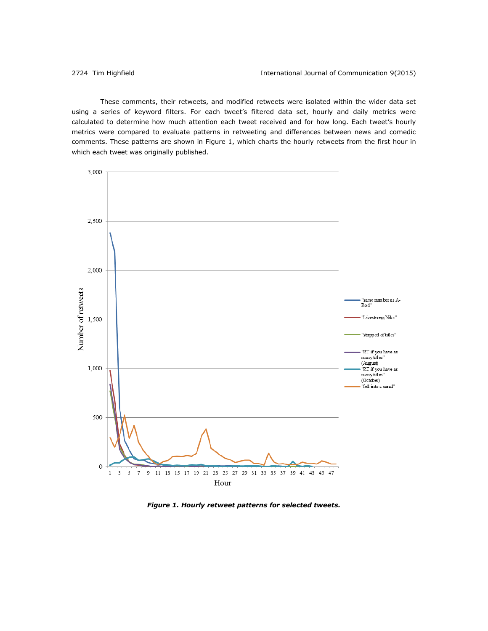These comments, their retweets, and modified retweets were isolated within the wider data set using a series of keyword filters. For each tweet's filtered data set, hourly and daily metrics were calculated to determine how much attention each tweet received and for how long. Each tweet's hourly metrics were compared to evaluate patterns in retweeting and differences between news and comedic comments. These patterns are shown in Figure 1, which charts the hourly retweets from the first hour in which each tweet was originally published.



*Figure 1. Hourly retweet patterns for selected tweets.*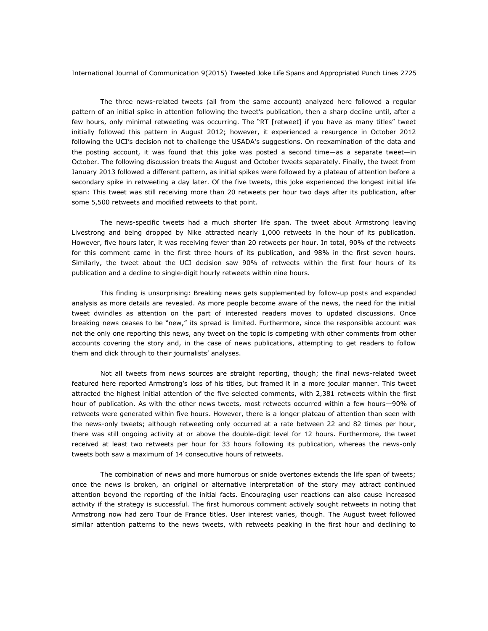The three news-related tweets (all from the same account) analyzed here followed a regular pattern of an initial spike in attention following the tweet's publication, then a sharp decline until, after a few hours, only minimal retweeting was occurring. The "RT [retweet] if you have as many titles" tweet initially followed this pattern in August 2012; however, it experienced a resurgence in October 2012 following the UCI's decision not to challenge the USADA's suggestions. On reexamination of the data and the posting account, it was found that this joke was posted a second time—as a separate tweet—in October. The following discussion treats the August and October tweets separately. Finally, the tweet from January 2013 followed a different pattern, as initial spikes were followed by a plateau of attention before a secondary spike in retweeting a day later. Of the five tweets, this joke experienced the longest initial life span: This tweet was still receiving more than 20 retweets per hour two days after its publication, after some 5,500 retweets and modified retweets to that point.

The news-specific tweets had a much shorter life span. The tweet about Armstrong leaving Livestrong and being dropped by Nike attracted nearly 1,000 retweets in the hour of its publication. However, five hours later, it was receiving fewer than 20 retweets per hour. In total, 90% of the retweets for this comment came in the first three hours of its publication, and 98% in the first seven hours. Similarly, the tweet about the UCI decision saw 90% of retweets within the first four hours of its publication and a decline to single-digit hourly retweets within nine hours.

This finding is unsurprising: Breaking news gets supplemented by follow-up posts and expanded analysis as more details are revealed. As more people become aware of the news, the need for the initial tweet dwindles as attention on the part of interested readers moves to updated discussions. Once breaking news ceases to be "new," its spread is limited. Furthermore, since the responsible account was not the only one reporting this news, any tweet on the topic is competing with other comments from other accounts covering the story and, in the case of news publications, attempting to get readers to follow them and click through to their journalists' analyses.

Not all tweets from news sources are straight reporting, though; the final news-related tweet featured here reported Armstrong's loss of his titles, but framed it in a more jocular manner. This tweet attracted the highest initial attention of the five selected comments, with 2,381 retweets within the first hour of publication. As with the other news tweets, most retweets occurred within a few hours-90% of retweets were generated within five hours. However, there is a longer plateau of attention than seen with the news-only tweets; although retweeting only occurred at a rate between 22 and 82 times per hour, there was still ongoing activity at or above the double-digit level for 12 hours. Furthermore, the tweet received at least two retweets per hour for 33 hours following its publication, whereas the news-only tweets both saw a maximum of 14 consecutive hours of retweets.

The combination of news and more humorous or snide overtones extends the life span of tweets; once the news is broken, an original or alternative interpretation of the story may attract continued attention beyond the reporting of the initial facts. Encouraging user reactions can also cause increased activity if the strategy is successful. The first humorous comment actively sought retweets in noting that Armstrong now had zero Tour de France titles. User interest varies, though. The August tweet followed similar attention patterns to the news tweets, with retweets peaking in the first hour and declining to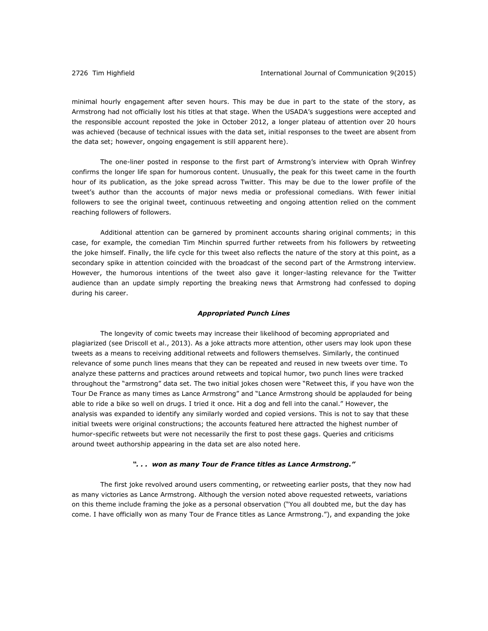minimal hourly engagement after seven hours. This may be due in part to the state of the story, as Armstrong had not officially lost his titles at that stage. When the USADA's suggestions were accepted and the responsible account reposted the joke in October 2012, a longer plateau of attention over 20 hours was achieved (because of technical issues with the data set, initial responses to the tweet are absent from the data set; however, ongoing engagement is still apparent here).

The one-liner posted in response to the first part of Armstrong's interview with Oprah Winfrey confirms the longer life span for humorous content. Unusually, the peak for this tweet came in the fourth hour of its publication, as the joke spread across Twitter. This may be due to the lower profile of the tweet's author than the accounts of major news media or professional comedians. With fewer initial followers to see the original tweet, continuous retweeting and ongoing attention relied on the comment reaching followers of followers.

Additional attention can be garnered by prominent accounts sharing original comments; in this case, for example, the comedian Tim Minchin spurred further retweets from his followers by retweeting the joke himself. Finally, the life cycle for this tweet also reflects the nature of the story at this point, as a secondary spike in attention coincided with the broadcast of the second part of the Armstrong interview. However, the humorous intentions of the tweet also gave it longer-lasting relevance for the Twitter audience than an update simply reporting the breaking news that Armstrong had confessed to doping during his career.

#### *Appropriated Punch Lines*

The longevity of comic tweets may increase their likelihood of becoming appropriated and plagiarized (see Driscoll et al., 2013). As a joke attracts more attention, other users may look upon these tweets as a means to receiving additional retweets and followers themselves. Similarly, the continued relevance of some punch lines means that they can be repeated and reused in new tweets over time. To analyze these patterns and practices around retweets and topical humor, two punch lines were tracked throughout the "armstrong" data set. The two initial jokes chosen were "Retweet this, if you have won the Tour De France as many times as Lance Armstrong" and "Lance Armstrong should be applauded for being able to ride a bike so well on drugs. I tried it once. Hit a dog and fell into the canal." However, the analysis was expanded to identify any similarly worded and copied versions. This is not to say that these initial tweets were original constructions; the accounts featured here attracted the highest number of humor-specific retweets but were not necessarily the first to post these gags. Queries and criticisms around tweet authorship appearing in the data set are also noted here.

# *". . . won as many Tour de France titles as Lance Armstrong."*

The first joke revolved around users commenting, or retweeting earlier posts, that they now had as many victories as Lance Armstrong. Although the version noted above requested retweets, variations on this theme include framing the joke as a personal observation ("You all doubted me, but the day has come. I have officially won as many Tour de France titles as Lance Armstrong."), and expanding the joke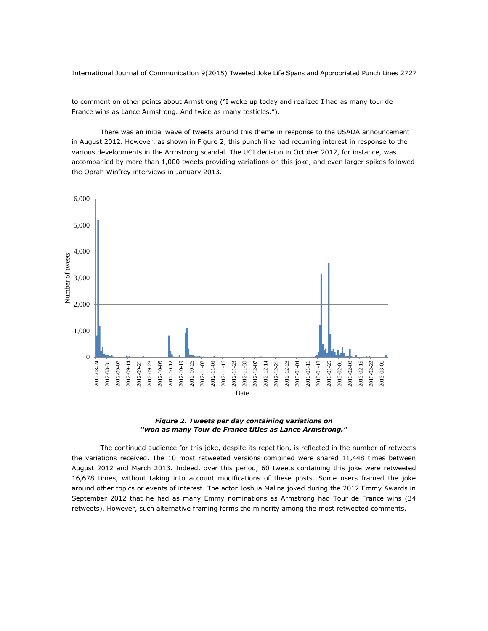to comment on other points about Armstrong ("I woke up today and realized I had as many tour de France wins as Lance Armstrong. And twice as many testicles.").

There was an initial wave of tweets around this theme in response to the USADA announcement in August 2012. However, as shown in Figure 2, this punch line had recurring interest in response to the various developments in the Armstrong scandal. The UCI decision in October 2012, for instance, was accompanied by more than 1,000 tweets providing variations on this joke, and even larger spikes followed the Oprah Winfrey interviews in January 2013.





The continued audience for this joke, despite its repetition, is reflected in the number of retweets the variations received. The 10 most retweeted versions combined were shared 11,448 times between August 2012 and March 2013. Indeed, over this period, 60 tweets containing this joke were retweeted 16,678 times, without taking into account modifications of these posts. Some users framed the joke around other topics or events of interest. The actor Joshua Malina joked during the 2012 Emmy Awards in September 2012 that he had as many Emmy nominations as Armstrong had Tour de France wins (34 retweets). However, such alternative framing forms the minority among the most retweeted comments.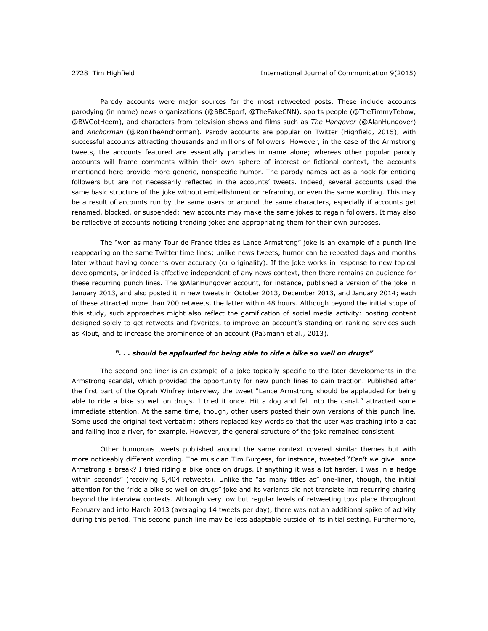Parody accounts were major sources for the most retweeted posts. These include accounts parodying (in name) news organizations (@BBCSporf, @TheFakeCNN), sports people (@TheTimmyTebow, @BWGotHeem), and characters from television shows and films such as *The Hangover* (@AlanHungover) and *Anchorman* (@RonTheAnchorman). Parody accounts are popular on Twitter (Highfield, 2015), with successful accounts attracting thousands and millions of followers. However, in the case of the Armstrong tweets, the accounts featured are essentially parodies in name alone; whereas other popular parody accounts will frame comments within their own sphere of interest or fictional context, the accounts mentioned here provide more generic, nonspecific humor. The parody names act as a hook for enticing followers but are not necessarily reflected in the accounts' tweets. Indeed, several accounts used the same basic structure of the joke without embellishment or reframing, or even the same wording. This may be a result of accounts run by the same users or around the same characters, especially if accounts get renamed, blocked, or suspended; new accounts may make the same jokes to regain followers. It may also be reflective of accounts noticing trending jokes and appropriating them for their own purposes.

The "won as many Tour de France titles as Lance Armstrong" joke is an example of a punch line reappearing on the same Twitter time lines; unlike news tweets, humor can be repeated days and months later without having concerns over accuracy (or originality). If the joke works in response to new topical developments, or indeed is effective independent of any news context, then there remains an audience for these recurring punch lines. The @AlanHungover account, for instance, published a version of the joke in January 2013, and also posted it in new tweets in October 2013, December 2013, and January 2014; each of these attracted more than 700 retweets, the latter within 48 hours. Although beyond the initial scope of this study, such approaches might also reflect the gamification of social media activity: posting content designed solely to get retweets and favorites, to improve an account's standing on ranking services such as Klout, and to increase the prominence of an account (Paßmann et al., 2013).

#### *". . . should be applauded for being able to ride a bike so well on drugs"*

The second one-liner is an example of a joke topically specific to the later developments in the Armstrong scandal, which provided the opportunity for new punch lines to gain traction. Published after the first part of the Oprah Winfrey interview, the tweet "Lance Armstrong should be applauded for being able to ride a bike so well on drugs. I tried it once. Hit a dog and fell into the canal." attracted some immediate attention. At the same time, though, other users posted their own versions of this punch line. Some used the original text verbatim; others replaced key words so that the user was crashing into a cat and falling into a river, for example. However, the general structure of the joke remained consistent.

Other humorous tweets published around the same context covered similar themes but with more noticeably different wording. The musician Tim Burgess, for instance, tweeted "Can't we give Lance Armstrong a break? I tried riding a bike once on drugs. If anything it was a lot harder. I was in a hedge within seconds" (receiving 5,404 retweets). Unlike the "as many titles as" one-liner, though, the initial attention for the "ride a bike so well on drugs" joke and its variants did not translate into recurring sharing beyond the interview contexts. Although very low but regular levels of retweeting took place throughout February and into March 2013 (averaging 14 tweets per day), there was not an additional spike of activity during this period. This second punch line may be less adaptable outside of its initial setting. Furthermore,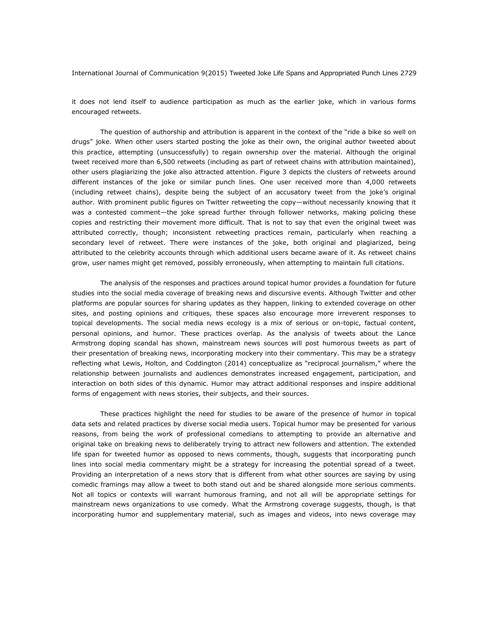it does not lend itself to audience participation as much as the earlier joke, which in various forms encouraged retweets.

The question of authorship and attribution is apparent in the context of the "ride a bike so well on drugs" joke. When other users started posting the joke as their own, the original author tweeted about this practice, attempting (unsuccessfully) to regain ownership over the material. Although the original tweet received more than 6,500 retweets (including as part of retweet chains with attribution maintained), other users plagiarizing the joke also attracted attention. Figure 3 depicts the clusters of retweets around different instances of the joke or similar punch lines. One user received more than 4,000 retweets (including retweet chains), despite being the subject of an accusatory tweet from the joke's original author. With prominent public figures on Twitter retweeting the copy—without necessarily knowing that it was a contested comment—the joke spread further through follower networks, making policing these copies and restricting their movement more difficult. That is not to say that even the original tweet was attributed correctly, though; inconsistent retweeting practices remain, particularly when reaching a secondary level of retweet. There were instances of the joke, both original and plagiarized, being attributed to the celebrity accounts through which additional users became aware of it. As retweet chains grow, user names might get removed, possibly erroneously, when attempting to maintain full citations.

The analysis of the responses and practices around topical humor provides a foundation for future studies into the social media coverage of breaking news and discursive events. Although Twitter and other platforms are popular sources for sharing updates as they happen, linking to extended coverage on other sites, and posting opinions and critiques, these spaces also encourage more irreverent responses to topical developments. The social media news ecology is a mix of serious or on-topic, factual content, personal opinions, and humor. These practices overlap. As the analysis of tweets about the Lance Armstrong doping scandal has shown, mainstream news sources will post humorous tweets as part of their presentation of breaking news, incorporating mockery into their commentary. This may be a strategy reflecting what Lewis, Holton, and Coddington (2014) conceptualize as "reciprocal journalism," where the relationship between journalists and audiences demonstrates increased engagement, participation, and interaction on both sides of this dynamic. Humor may attract additional responses and inspire additional forms of engagement with news stories, their subjects, and their sources.

These practices highlight the need for studies to be aware of the presence of humor in topical data sets and related practices by diverse social media users. Topical humor may be presented for various reasons, from being the work of professional comedians to attempting to provide an alternative and original take on breaking news to deliberately trying to attract new followers and attention. The extended life span for tweeted humor as opposed to news comments, though, suggests that incorporating punch lines into social media commentary might be a strategy for increasing the potential spread of a tweet. Providing an interpretation of a news story that is different from what other sources are saying by using comedic framings may allow a tweet to both stand out and be shared alongside more serious comments. Not all topics or contexts will warrant humorous framing, and not all will be appropriate settings for mainstream news organizations to use comedy. What the Armstrong coverage suggests, though, is that incorporating humor and supplementary material, such as images and videos, into news coverage may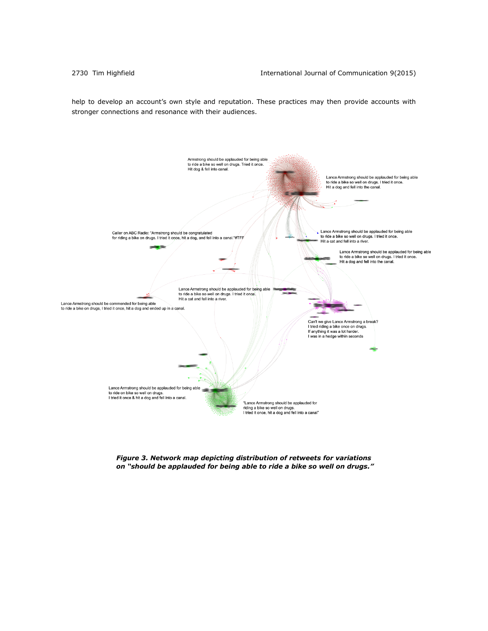help to develop an account's own style and reputation. These practices may then provide accounts with stronger connections and resonance with their audiences.



*Figure 3. Network map depicting distribution of retweets for variations on "should be applauded for being able to ride a bike so well on drugs."*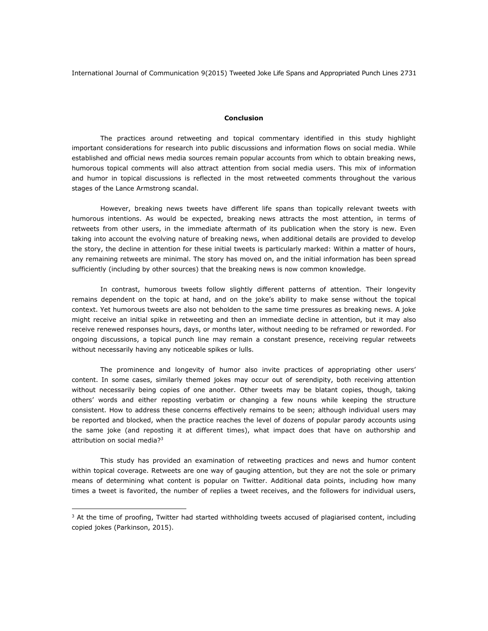# **Conclusion**

The practices around retweeting and topical commentary identified in this study highlight important considerations for research into public discussions and information flows on social media. While established and official news media sources remain popular accounts from which to obtain breaking news, humorous topical comments will also attract attention from social media users. This mix of information and humor in topical discussions is reflected in the most retweeted comments throughout the various stages of the Lance Armstrong scandal.

However, breaking news tweets have different life spans than topically relevant tweets with humorous intentions. As would be expected, breaking news attracts the most attention, in terms of retweets from other users, in the immediate aftermath of its publication when the story is new. Even taking into account the evolving nature of breaking news, when additional details are provided to develop the story, the decline in attention for these initial tweets is particularly marked: Within a matter of hours, any remaining retweets are minimal. The story has moved on, and the initial information has been spread sufficiently (including by other sources) that the breaking news is now common knowledge.

In contrast, humorous tweets follow slightly different patterns of attention. Their longevity remains dependent on the topic at hand, and on the joke's ability to make sense without the topical context. Yet humorous tweets are also not beholden to the same time pressures as breaking news. A joke might receive an initial spike in retweeting and then an immediate decline in attention, but it may also receive renewed responses hours, days, or months later, without needing to be reframed or reworded. For ongoing discussions, a topical punch line may remain a constant presence, receiving regular retweets without necessarily having any noticeable spikes or lulls.

The prominence and longevity of humor also invite practices of appropriating other users' content. In some cases, similarly themed jokes may occur out of serendipity, both receiving attention without necessarily being copies of one another. Other tweets may be blatant copies, though, taking others' words and either reposting verbatim or changing a few nouns while keeping the structure consistent. How to address these concerns effectively remains to be seen; although individual users may be reported and blocked, when the practice reaches the level of dozens of popular parody accounts using the same joke (and reposting it at different times), what impact does that have on authorship and attribution on social media?<sup>3</sup>

This study has provided an examination of retweeting practices and news and humor content within topical coverage. Retweets are one way of gauging attention, but they are not the sole or primary means of determining what content is popular on Twitter. Additional data points, including how many times a tweet is favorited, the number of replies a tweet receives, and the followers for individual users,

 $\overline{a}$ 

 $3$  At the time of proofing, Twitter had started withholding tweets accused of plagiarised content, including copied jokes (Parkinson, 2015).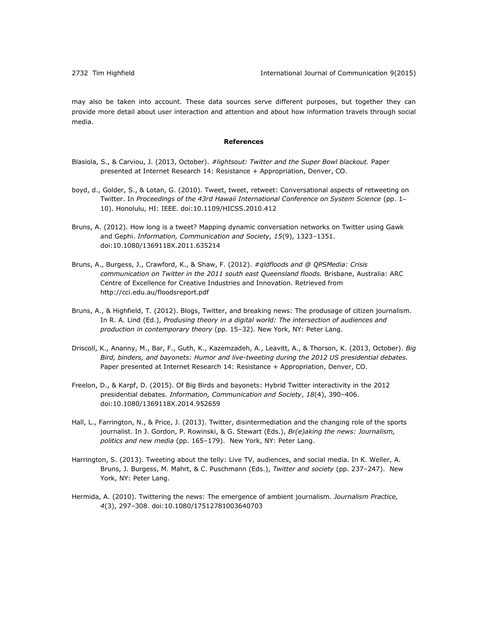may also be taken into account. These data sources serve different purposes, but together they can provide more detail about user interaction and attention and about how information travels through social media.

#### **References**

- Blasiola, S., & Carviou, J. (2013, October). *#lightsout: Twitter and the Super Bowl blackout.* Paper presented at Internet Research 14: Resistance + Appropriation, Denver, CO.
- boyd, d., Golder, S., & Lotan, G. (2010). Tweet, tweet, retweet: Conversational aspects of retweeting on Twitter. In *Proceedings of the 43rd Hawaii International Conference on System Science* (pp. 1– 10). Honolulu, HI: IEEE. doi:10.1109/HICSS.2010.412
- Bruns, A. (2012). How long is a tweet? Mapping dynamic conversation networks on Twitter using Gawk and Gephi. *Information, Communication and Society, 15*(9), 1323–1351. doi:10.1080/1369118X.2011.635214
- Bruns, A., Burgess, J., Crawford, K., & Shaw, F. (2012). *#qldfloods and @ QPSMedia: Crisis communication on Twitter in the 2011 south east Queensland floods.* Brisbane, Australia: ARC Centre of Excellence for Creative Industries and Innovation. Retrieved from <http://cci.edu.au/floodsreport.pdf>
- Bruns, A., & Highfield, T. (2012). Blogs, Twitter, and breaking news: The produsage of citizen journalism. In R. A. Lind (Ed.), *Produsing theory in a digital world: The intersection of audiences and production in contemporary theory* (pp. 15–32). New York, NY: Peter Lang.
- Driscoll, K., Ananny, M., Bar, F., Guth, K., Kazemzadeh, A., Leavitt, A., & Thorson, K. (2013, October). *Big Bird, binders, and bayonets: Humor and live-tweeting during the 2012 US presidential debates.* Paper presented at Internet Research 14: Resistance + Appropriation, Denver, CO.
- Freelon, D., & Karpf, D. (2015). Of Big Birds and bayonets: Hybrid Twitter interactivity in the 2012 presidential debates. *Information, Communication and Society*, *18*(4), 390–406. doi:10.1080/1369118X.2014.952659
- Hall, L., Farrington, N., & Price, J. (2013). Twitter, disintermediation and the changing role of the sports journalist. In J. Gordon, P. Rowinski, & G. Stewart (Eds.), *Br(e)aking the news: Journalism, politics and new media* (pp. 165–179). New York, NY: Peter Lang.
- Harrington, S. (2013). Tweeting about the telly: Live TV, audiences, and social media. In K. Weller, A. Bruns, J. Burgess, M. Mahrt, & C. Puschmann (Eds.), *Twitter and society* (pp. 237–247). New York, NY: Peter Lang.
- Hermida, A. (2010). Twittering the news: The emergence of ambient journalism. *Journalism Practice, 4*(3), 297–308. doi:10.1080/17512781003640703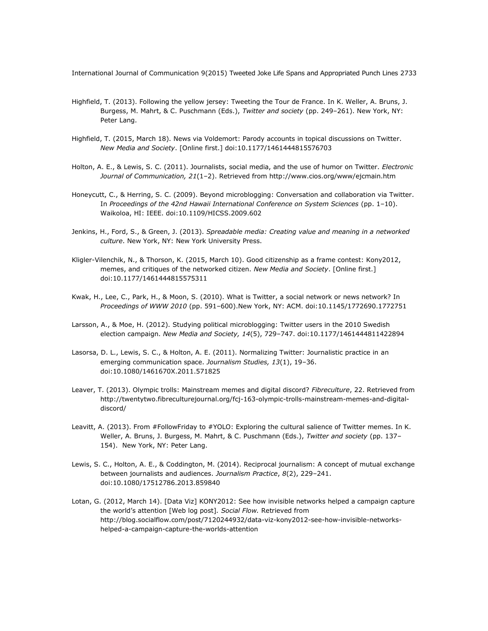- Highfield, T. (2013). Following the yellow jersey: Tweeting the Tour de France. In K. Weller, A. Bruns, J. Burgess, M. Mahrt, & C. Puschmann (Eds.), *Twitter and society* (pp. 249–261). New York, NY: Peter Lang.
- Highfield, T. (2015, March 18). News via Voldemort: Parody accounts in topical discussions on Twitter. *New Media and Society*. [Online first.] doi:10.1177/1461444815576703
- Holton, A. E., & Lewis, S. C. (2011). Journalists, social media, and the use of humor on Twitter. *Electronic Journal of Communication, 21*(1–2). Retrieved from<http://www.cios.org/www/ejcmain.htm>
- Honeycutt, C., & Herring, S. C. (2009). Beyond microblogging: Conversation and collaboration via Twitter. In *Proceedings of the 42nd Hawaii International Conference on System Sciences* (pp. 1–10). Waikoloa, HI: IEEE. doi:10.1109/HICSS.2009.602
- Jenkins, H., Ford, S., & Green, J. (2013). *Spreadable media: Creating value and meaning in a networked culture*. New York, NY: New York University Press.
- Kligler-Vilenchik, N., & Thorson, K. (2015, March 10). Good citizenship as a frame contest: Kony2012, memes, and critiques of the networked citizen. *New Media and Society*. [Online first.] doi:10.1177/1461444815575311
- Kwak, H., Lee, C., Park, H., & Moon, S. (2010). What is Twitter, a social network or news network? In *Proceedings of WWW 2010* (pp. 591–600).New York, NY: ACM. doi:10.1145/1772690.1772751
- Larsson, A., & Moe, H. (2012). Studying political microblogging: Twitter users in the 2010 Swedish election campaign. *New Media and Society, 14*(5), 729–747. doi:10.1177/1461444811422894
- Lasorsa, D. L., Lewis, S. C., & Holton, A. E. (2011). Normalizing Twitter: Journalistic practice in an emerging communication space. *Journalism Studies, 13*(1), 19–36. doi:10.1080/1461670X.2011.571825
- Leaver, T. (2013). Olympic trolls: Mainstream memes and digital discord? *Fibreculture*, 22. Retrieved from [http://twentytwo.fibreculturejournal.org/fcj-163-olympic-trolls-mainstream-memes-and-digital](http://twentytwo.fibreculturejournal.org/fcj-163-olympic-trolls-mainstream-memes-and-digital-discord/)[discord/](http://twentytwo.fibreculturejournal.org/fcj-163-olympic-trolls-mainstream-memes-and-digital-discord/)
- Leavitt, A. (2013). From #FollowFriday to #YOLO: Exploring the cultural salience of Twitter memes. In K. Weller, A. Bruns, J. Burgess, M. Mahrt, & C. Puschmann (Eds.), *Twitter and society* (pp. 137– 154). New York, NY: Peter Lang.
- Lewis, S. C., Holton, A. E., & Coddington, M. (2014). Reciprocal journalism: A concept of mutual exchange between journalists and audiences. *Journalism Practice*, *8*(2), 229–241. doi:10.1080/17512786.2013.859840
- Lotan, G. (2012, March 14). [Data Viz] KONY2012: See how invisible networks helped a campaign capture the world's attention [Web log post]*. Social Flow.* Retrieved from [http://blog.socialflow.com/post/7120244932/data-viz-kony2012-see-how-invisible-networks](http://blog.socialflow.com/post/7120244932/data-viz-kony2012-see-how-invisible-networks-helped-a-campaign-capture-the-worlds-attention)[helped-a-campaign-capture-the-worlds-attention](http://blog.socialflow.com/post/7120244932/data-viz-kony2012-see-how-invisible-networks-helped-a-campaign-capture-the-worlds-attention)